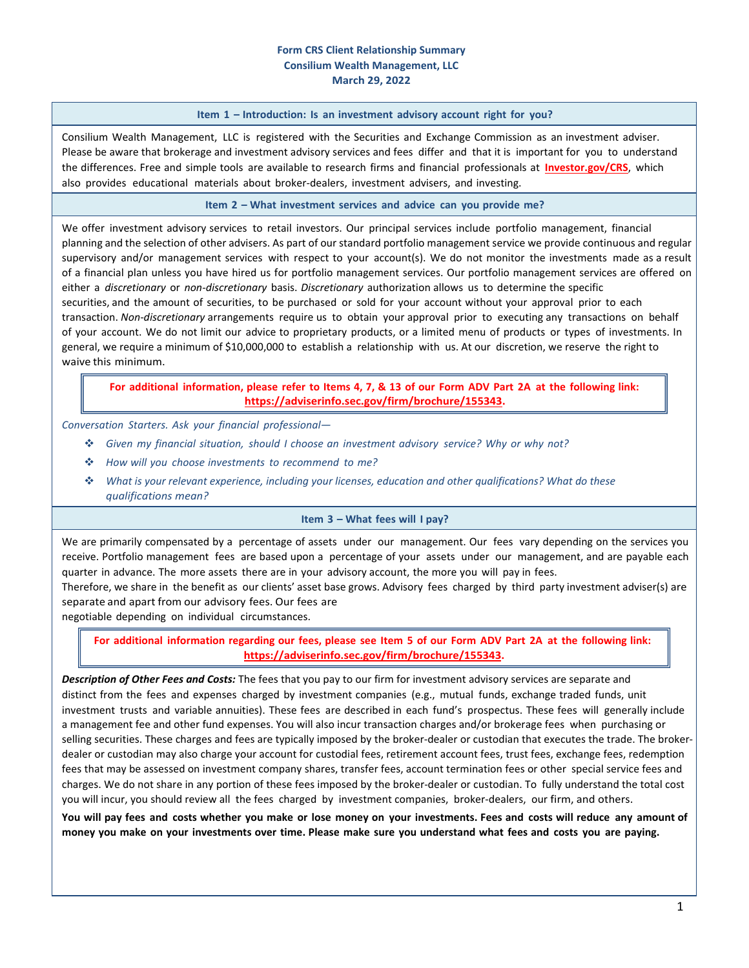### **Form CRS Client Relationship Summary Consilium Wealth Management, LLC March 29, 2022**

#### **Item 1 – Introduction: Is an investment advisory account right for you?**

Consilium Wealth Management, LLC is registered with the Securities and Exchange Commission as an investment adviser. Please be aware that brokerage and investment advisory services and fees differ and that it is important for you to understand the differences. Free and simple tools are available to research firms and financial professionals at **[Investor.gov/CRS](https://www.investor.gov/CRS)**, which also provides educational materials about broker-dealers, investment advisers, and investing.

### **Item 2 – What investment services and advice can you provide me?**

We offer investment advisory services to retail investors. Our principal services include portfolio management, financial planning and the selection of other advisers. As part of our standard portfolio management service we provide continuous and regular supervisory and/or management services with respect to your account(s). We do not monitor the investments made as a result of a financial plan unless you have hired us for portfolio management services. Our portfolio management services are offered on either a *discretionary* or *non‐discretionary* basis. *Discretionary* authorization allows us to determine the specific securities, and the amount of securities, to be purchased or sold for your account without your approval prior to each transaction. *Non‐discretionary* arrangements require us to obtain your approval prior to executing any transactions on behalf of your account. We do not limit our advice to proprietary products, or a limited menu of products or types of investments. In general, we require a minimum of \$10,000,000 to establish a relationship with us. At our discretion, we reserve the right to waive this minimum.

# For additional information, please refer to Items 4, 7, & 13 of our Form ADV Part 2A at the following link: **https://adviserinfo.sec.gov/firm/brochure/155343.**

### *Conversation Starters. Ask your financial professional—*

- *Given my financial situation, should I choose an investment advisory service? Why or why not?*
- *How will you choose investments to recommend to me?*
- *What is your relevant experience, including your licenses, education and other qualifications? What do these qualifications mean?*

#### **Item 3 – What fees will I pay?**

We are primarily compensated by a percentage of assets under our management. Our fees vary depending on the services you receive. Portfolio management fees are based upon a percentage of your assets under our management, and are payable each quarter in advance. The more assets there are in your advisory account, the more you will pay in fees.

Therefore, we share in the benefit as our clients' asset base grows. Advisory fees charged by third party investment adviser(s) are separate and apart from our advisory fees. Our fees are

negotiable depending on individual circumstances.

For additional information regarding our fees, please see Item 5 of our Form ADV Part 2A at the following link: **https://adviserinfo.sec.gov/firm/brochure/155343.**

*Description of Other Fees and Costs:* The fees that you pay to our firm for investment advisory services are separate and distinct from the fees and expenses charged by investment companies (e.g., mutual funds, exchange traded funds, unit investment trusts and variable annuities). These fees are described in each fund's prospectus. These fees will generally include a management fee and other fund expenses. You will also incur transaction charges and/or brokerage fees when purchasing or selling securities. These charges and fees are typically imposed by the broker-dealer or custodian that executes the trade. The brokerdealer or custodian may also charge your account for custodial fees, retirement account fees, trust fees, exchange fees, redemption fees that may be assessed on investment company shares, transfer fees, account termination fees or other special service fees and charges. We do not share in any portion of these fees imposed by the broker‐dealer or custodian. To fully understand the total cost you will incur, you should review all the fees charged by investment companies, broker‐dealers, our firm, and others.

You will pay fees and costs whether you make or lose money on your investments. Fees and costs will reduce any amount of money you make on your investments over time. Please make sure you understand what fees and costs you are paying.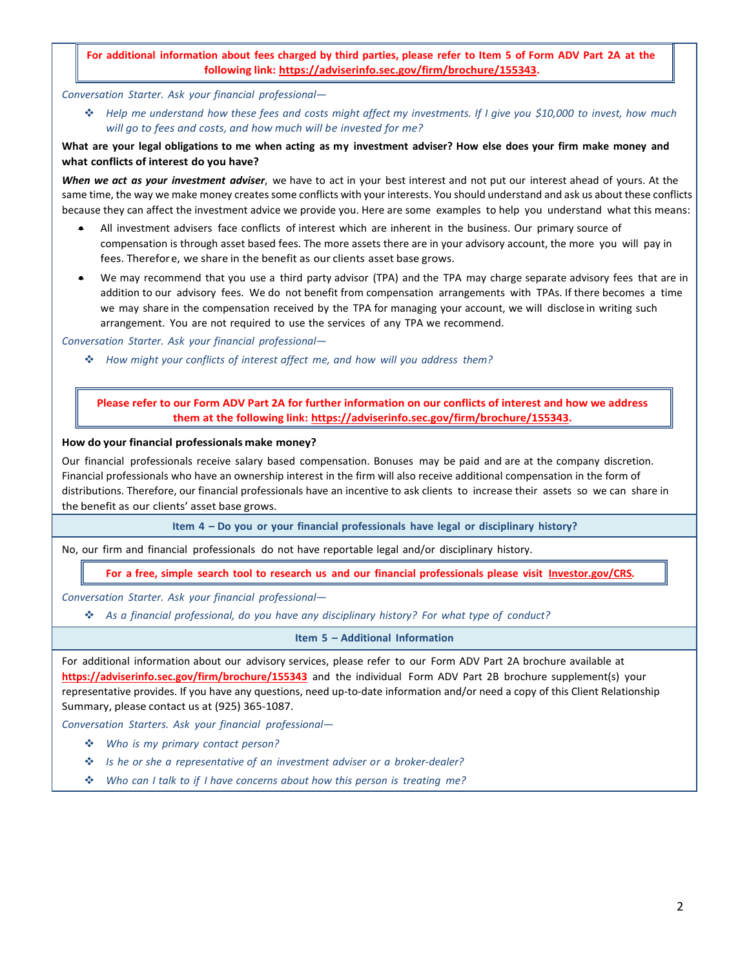# For additional information about fees charged by third parties, please refer to Item 5 of Form ADV Part 2A at the **following link: https://adviserinfo.sec.gov/firm/brochure/155343.**

*Conversation Starter. Ask your financial professional—*

\* Help me understand how these fees and costs might affect my investments. If I give you \$10,000 to invest, how much *will go to fees and costs, and how much will be invested for me?*

# What are your legal obligations to me when acting as my investment adviser? How else does your firm make money and **what conflicts of interest do you have?**

*When we act as your investment adviser*, we have to act in your best interest and not put our interest ahead of yours. At the same time, the way we make money createssome conflicts with your interests. You should understand and ask us about these conflicts because they can affect the investment advice we provide you. Here are some examples to help you understand what this means:

- All investment advisers face conflicts of interest which are inherent in the business. Our primary source of compensation is through asset based fees. The more assets there are in your advisory account, the more you will pay in fees. Therefore, we share in the benefit as our clients asset base grows.
- We may recommend that you use a third party advisor (TPA) and the TPA may charge separate advisory fees that are in addition to our advisory fees. We do not benefit from compensation arrangements with TPAs. If there becomes a time we may share in the compensation received by the TPA for managing your account, we will disclose in writing such arrangement. You are not required to use the services of any TPA we recommend.

*Conversation Starter. Ask your financial professional—*

*How might your conflicts of interest affect me, and how will you address them?*

Please refer to our Form ADV Part 2A for further information on our conflicts of interest and how we address **them at the following link: https://adviserinfo.sec.gov/firm/brochure/155343.**

## **How do your financial professionals make money?**

Our financial professionals receive salary based compensation. Bonuses may be paid and are at the company discretion. Financial professionals who have an ownership interest in the firm will also receive additional compensation in the form of distributions. Therefore, our financial professionals have an incentive to ask clients to increase their assets so we can share in the benefit as our clients' asset base grows.

**Item 4 – Do you or your financial professionals have legal or disciplinary history?**

No, our firm and financial professionals do not have reportable legal and/or disciplinary history.

For a free, simple search tool to research us and our financial professionals please visit [Investor.gov/CRS](https://www.investor.gov/CRS).

*Conversation Starter. Ask your financial professional—*

*As a financial professional, do you have any disciplinary history? For what type of conduct?*

### **Item 5 – Additional Information**

For additional information about our advisory services, please refer to our Form ADV Part 2A brochure available at **https://adviserinfo.sec.gov/firm/brochure/155343** and the individual Form ADV Part 2B brochure supplement(s) your representative provides. If you have any questions, need up-to-date information and/or need a copy of this Client Relationship Summary, please contact us at (925) 365‐1087.

*Conversation Starters. Ask your financial professional—*

- *Who is my primary contact person?*
- *Is he or she a representative of an investment adviser or a broker‐dealer?*
- *Who can I talk to if I have concerns about how this person is treating me?*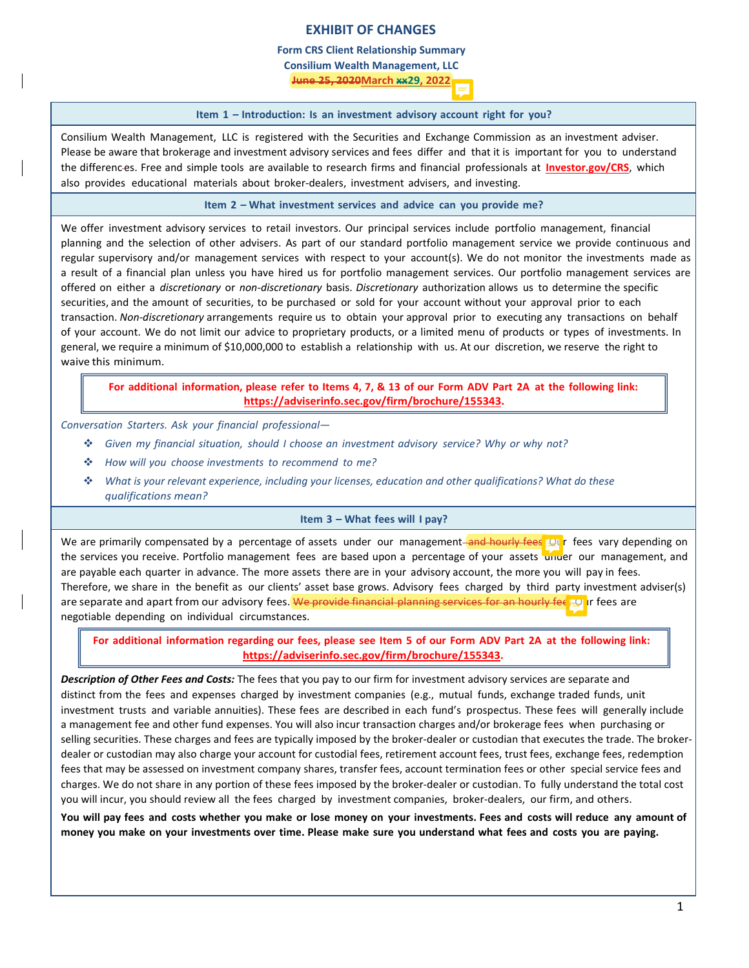# **EXHIBIT OF CHANGES**

**Form CRS Client Relationship Summary**

**Consilium Wealth Management, LLC**

**June 25, 2020March xx29, 2022**

### **Item 1 – Introduction: Is an investment advisory account right for you?**

Consilium Wealth Management, LLC is registered with the Securities and Exchange Commission as an investment adviser. Please be aware that brokerage and investment advisory services and fees differ and that it is important for you to understand the differenc es. Free and simple tools are available to research firms and financial professionals at **[Investor.gov/CRS](https://www.investor.gov/CRS)**, which also provides educational materials about broker-dealers, investment advisers, and investing.

**Item 2 – What investment services and advice can you provide me?**

We offer investment advisory services to retail investors. Our principal services include portfolio management, financial planning and the selection of other advisers. As part of our standard portfolio management service we provide continuous and regular supervisory and/or management services with respect to your account(s). We do not monitor the investments made as a result of a financial plan unless you have hired us for portfolio management services. Our portfolio management services are offered on either a *discretionary* or *non‐discretionary* basis. *Discretionary* authorization allows us to determine the specific securities, and the amount of securities, to be purchased or sold for your account without your approval prior to each transaction. *Non‐discretionary* arrangements require us to obtain your approval prior to executing any transactions on behalf of your account. We do not limit our advice to proprietary products, or a limited menu of products or types of investments. In general, we require a minimum of \$10,000,000 to establish a relationship with us. At our discretion, we reserve the right to waive this minimum.

# For additional information, please refer to Items 4, 7, & 13 of our Form ADV Part 2A at the following link: **https://adviserinfo.sec.gov/firm/brochure/155343.**

*Conversation Starters. Ask your financial professional—*

- *Given my financial situation, should I choose an investment advisory service? Why or why not?*
- *How will you choose investments to recommend to me?*
- *What is your relevant experience, including your licenses, education and other qualifications? What do these qualifications mean?*

### **Item 3 – What fees will I pay?**

We are primarily compensated by a percentage of assets under our management and hourly fees. Our fees vary depending on the services you receive. Portfolio management fees are based upon a percentage of your assets under our management, and are payable each quarter in advance. The more assets there are in your advisory account, the more you will pay in fees. Therefore, we share in the benefit as our clients' asset base grows. Advisory fees charged by third party investment adviser(s) are separate and apart from our advisory fees. We provide financial planning services for an hourly fee. Our fees are negotiable depending on individual circumstances.

For additional information regarding our fees, please see Item 5 of our Form ADV Part 2A at the following link: **https://adviserinfo.sec.gov/firm/brochure/155343.**

*Description of Other Fees and Costs:* The fees that you pay to our firm for investment advisory services are separate and distinct from the fees and expenses charged by investment companies (e.g., mutual funds, exchange traded funds, unit investment trusts and variable annuities). These fees are described in each fund's prospectus. These fees will generally include a management fee and other fund expenses. You will also incur transaction charges and/or brokerage fees when purchasing or selling securities. These charges and fees are typically imposed by the broker-dealer or custodian that executes the trade. The brokerdealer or custodian may also charge your account for custodial fees, retirement account fees, trust fees, exchange fees, redemption fees that may be assessed on investment company shares, transfer fees, account termination fees or other special service fees and charges. We do not share in any portion of these fees imposed by the broker‐dealer or custodian. To fully understand the total cost you will incur, you should review all the fees charged by investment companies, broker‐dealers, our firm, and others.

You will pay fees and costs whether you make or lose money on your investments. Fees and costs will reduce any amount of money you make on your investments over time. Please make sure you understand what fees and costs you are paying.